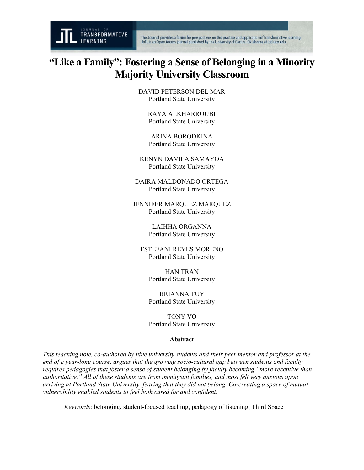

## **"Like a Family": Fostering a Sense of Belonging in a Minority Majority University Classroom**

DAVID PETERSON DEL MAR Portland State University

> RAYA ALKHARROUBI Portland State University

ARINA BORODKINA Portland State University

KENYN DAVILA SAMAYOA Portland State University

DAIRA MALDONADO ORTEGA Portland State University

JENNIFER MARQUEZ MARQUEZ Portland State University

> LAIHHA ORGANNA Portland State University

ESTEFANI REYES MORENO Portland State University

> HAN TRAN Portland State University

> BRIANNA TUY Portland State University

> TONY VO Portland State University

## **Abstract**

*This teaching note, co-authored by nine university students and their peer mentor and professor at the end of a year-long course, argues that the growing socio-cultural gap between students and faculty requires pedagogies that foster a sense of student belonging by faculty becoming "more receptive than authoritative." All of these students are from immigrant families, and most felt very anxious upon arriving at Portland State University, fearing that they did not belong. Co-creating a space of mutual vulnerability enabled students to feel both cared for and confident.*

*Keywords*: belonging, student-focused teaching, pedagogy of listening, Third Space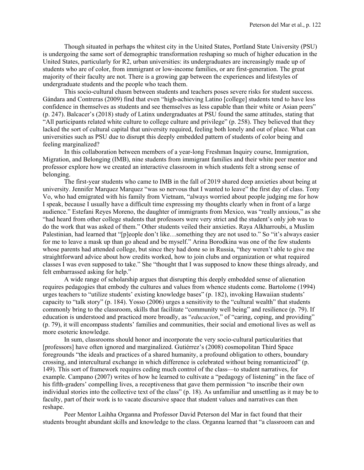Though situated in perhaps the whitest city in the United States, Portland State University (PSU) is undergoing the same sort of demographic transformation reshaping so much of higher education in the United States, particularly for R2, urban universities: its undergraduates are increasingly made up of students who are of color, from immigrant or low-income families, or are first-generation. The great majority of their faculty are not. There is a growing gap between the experiences and lifestyles of undergraduate students and the people who teach them.

This socio-cultural chasm between students and teachers poses severe risks for student success. Gándara and Contreras (2009) find that even "high-achieving Latino [college] students tend to have less confidence in themselves as students and see themselves as less capable than their white or Asian peers" (p. 247). Balcacer's (2018) study of Latinx undergraduates at PSU found the same attitudes, stating that "All participants related white culture to college culture and privilege" (p. 258). They believed that they lacked the sort of cultural capital that university required, feeling both lonely and out of place. What can universities such as PSU due to disrupt this deeply embedded pattern of students of color being and feeling marginalized?

In this collaboration between members of a year-long Freshman Inquiry course, Immigration, Migration, and Belonging (IMB), nine students from immigrant families and their white peer mentor and professor explore how we created an interactive classroom in which students felt a strong sense of belonging.

The first-year students who came to IMB in the fall of 2019 shared deep anxieties about being at university. Jennifer Marquez Marquez "was so nervous that I wanted to leave" the first day of class. Tony Vo, who had emigrated with his family from Vietnam, "always worried about people judging me for how I speak, because I usually have a difficult time expressing my thoughts clearly when in front of a large audience." Estefani Reyes Moreno, the daughter of immigrants from Mexico, was "really anxious," as she "had heard from other college students that professors were very strict and the student's only job was to do the work that was asked of them." Other students veiled their anxieties. Raya Alkharroubi, a Muslim Palestinian, had learned that "[p]eople don't like…something they are not used to." So "it's always easier for me to leave a mask up than go ahead and be myself." Arina Borodkina was one of the few students whose parents had attended college, but since they had done so in Russia, "they weren't able to give me straightforward advice about how credits worked, how to join clubs and organization or what required classes I was even supposed to take." She "thought that I was supposed to know these things already, and felt embarrassed asking for help."

A wide range of scholarship argues that disrupting this deeply embedded sense of alienation requires pedagogies that embody the cultures and values from whence students come. Bartolome (1994) urges teachers to "utilize students' existing knowledge bases" (p. 182), invoking Hawaiian students' capacity to "talk story" (p. 184). Yosso (2006) urges a sensitivity to the "cultural wealth" that students commonly bring to the classroom, skills that facilitate "community well being" and resilience (p. 79). If education is understood and practiced more broadly, as "*educacion*," of "caring, coping, and providing" (p. 79), it will encompass students' families and communities, their social and emotional lives as well as more esoteric knowledge.

In sum, classrooms should honor and incorporate the very socio-cultural particularities that [professors] have often ignored and marginalized. Gutiérrez's (2008) cosmopolitan Third Space foregrounds "the ideals and practices of a shared humanity, a profound obligation to others, boundary crossing, and intercultural exchange in which difference is celebrated without being romanticized" (p. 149). This sort of framework requires ceding much control of the class—to student narratives, for example. Campano (2007) writes of how he learned to cultivate a "pedagogy of listening" in the face of his fifth-graders' compelling lives, a receptiveness that gave them permission "to inscribe their own individual stories into the collective text of the class" (p. 18). As unfamiliar and unsettling as it may be to faculty, part of their work is to vacate discursive space that student values and narratives can then reshape.

Peer Mentor Laihha Organna and Professor David Peterson del Mar in fact found that their students brought abundant skills and knowledge to the class. Organna learned that "a classroom can and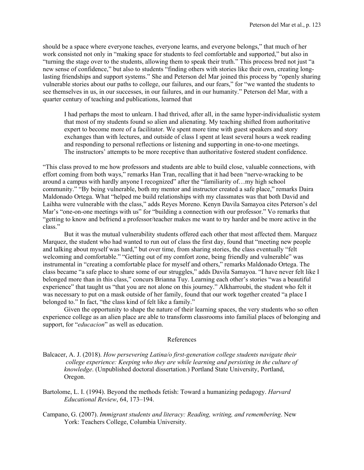should be a space where everyone teaches, everyone learns, and everyone belongs," that much of her work consisted not only in "making space for students to feel comfortable and supported," but also in "turning the stage over to the students, allowing them to speak their truth." This process bred not just "a new sense of confidence," but also to students "finding others with stories like their own, creating longlasting friendships and support systems." She and Peterson del Mar joined this process by "openly sharing vulnerable stories about our paths to college, our failures, and our fears," for "we wanted the students to see themselves in us, in our successes, in our failures, and in our humanity." Peterson del Mar, with a quarter century of teaching and publications, learned that

I had perhaps the most to unlearn. I had thrived, after all, in the same hyper-individualistic system that most of my students found so alien and alienating. My teaching shifted from authoritative expert to become more of a facilitator. We spent more time with guest speakers and story exchanges than with lectures, and outside of class I spent at least several hours a week reading and responding to personal reflections or listening and supporting in one-to-one meetings. The instructors' attempts to be more receptive than authoritative fostered student confidence.

"This class proved to me how professors and students are able to build close, valuable connections, with effort coming from both ways," remarks Han Tran, recalling that it had been "nerve-wracking to be around a campus with hardly anyone I recognized" after the "familiarity of…my high school community." "By being vulnerable, both my mentor and instructor created a safe place," remarks Daira Maldonado Ortega. What "helped me build relationships with my classmates was that both David and Laihha were vulnerable with the class," adds Reyes Moreno. Kenyn Davila Samayoa cites Peterson's del Mar's "one-on-one meetings with us" for "building a connection with our professor." Vo remarks that "getting to know and befriend a professor/teacher makes me want to try harder and be more active in the class."

But it was the mutual vulnerability students offered each other that most affected them. Marquez Marquez, the student who had wanted to run out of class the first day, found that "meeting new people and talking about myself was hard," but over time, from sharing stories, the class eventually "felt welcoming and comfortable." "Getting out of my comfort zone, being friendly and vulnerable" was instrumental in "creating a comfortable place for myself and others," remarks Maldonado Ortega. The class became "a safe place to share some of our struggles," adds Davila Samayoa. "I have never felt like I belonged more than in this class," concurs Brianna Tuy. Learning each other's stories "was a beautiful experience" that taught us "that you are not alone on this journey." Alkharroubi, the student who felt it was necessary to put on a mask outside of her family, found that our work together created "a place I belonged to." In fact, "the class kind of felt like a family."

Given the opportunity to shape the nature of their learning spaces, the very students who so often experience college as an alien place are able to transform classrooms into familial places of belonging and support, for "*educacion*" as well as education.

## References

- Balcacer, A. J. (2018). *How persevering Latina/o first-generation college students navigate their college experience: Keeping who they are while learning and persisting in the culture of knowledge*. (Unpublished doctoral dissertation.) Portland State University, Portland, Oregon.
- Bartolome, L. I. (1994). Beyond the methods fetish: Toward a humanizing pedagogy. *Harvard Educational Review*, 64, 173–194.
- Campano, G. (2007). *Immigrant students and literacy: Reading, writing, and remembering*. New York: Teachers College, Columbia University.